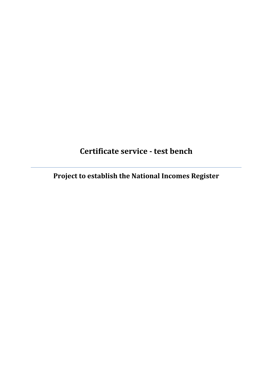# **Certificate service - test bench**

**Project to establish the National Incomes Register**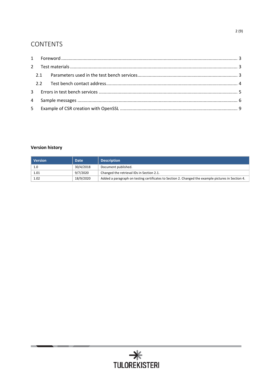## **CONTENTS**

## **Version history**

í.

| <b>Version</b> | <b>Date</b> | <b>Description</b>                                                                                 |
|----------------|-------------|----------------------------------------------------------------------------------------------------|
| 1.0            | 30/4/2018   | Document published.                                                                                |
| 1.01           | 9/7/2020    | Changed the retrieval IDs in Section 2.1.                                                          |
| 1.02           | 18/9/2020   | Added a paragraph on testing certificates to Section 2. Changed the example pictures in Section 4. |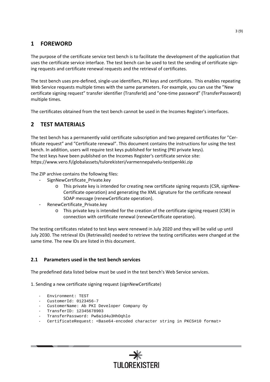## <span id="page-2-0"></span>**1 FOREWORD**

The purpose of the certificate service test bench is to facilitate the development of the application that uses the certificate service interface. The test bench can be used to test the sending of certificate signing requests and certificate renewal requests and the retrieval of certificates.

The test bench uses pre-defined, single-use identifiers, PKI keys and certificates. This enables repeating Web Service requests multiple times with the same parameters. For example, you can use the "New certificate signing request" transfer identifier (TransferId) and "one-time password" (TransferPassword) multiple times.

The certificates obtained from the test bench cannot be used in the Incomes Register's interfaces.

## <span id="page-2-1"></span>**2 TEST MATERIALS**

The test bench has a permanently valid certificate subscription and two prepared certificates for "Certificate request" and "Certificate renewal". This document contains the instructions for using the test bench. In addition, users will require test keys published for testing (PKI private keys). The test keys have been published on the Incomes Register's certificate service site: <https://www.vero.fi/globalassets/tulorekisteri/varmennepalvelu-testipenkki.zip>

The ZIP archive contains the following files:

- SignNewCertificate Private.key
	- o This private key is intended for creating new certificate signing requests (CSR, signNew-Certificate operation) and generating the XML signature for the certificate renewal SOAP message (renewCertificate operation).
- RenewCertificate Private.key
	- o This private key is intended for the creation of the certificate signing request (CSR) in connection with certificate renewal (renewCertificate operation).

The testing certificates related to test keys were renewed in July 2020 and they will be valid up until July 2030. The retrieval IDs (RetrievalId) needed to retrieve the testing certificates were changed at the same time. The new IDs are listed in this document.

### <span id="page-2-2"></span>**2.1 Parameters used in the test bench services**

The predefined data listed below must be used in the test bench's Web Service services.

1. Sending a new certificate signing request (signNewCertificate)

- Environment: TEST
- CustomerId: 0123456-7
- CustomerName: Ab PKI Developer Company Oy
- TransferID: 12345678903
- TransferPassword: Pw8a1d4u3HhOqhlo
- CertificateRequest: <Base64-encoded character string in PKCS#10 format>

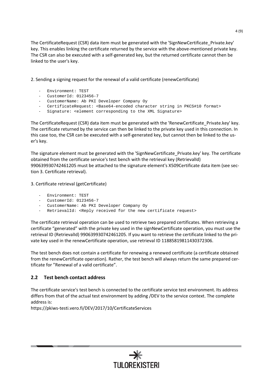The CertificateRequest (CSR) data item must be generated with the 'SignNewCertificate Private.key' key. This enables linking the certificate returned by the service with the above-mentioned private key. The CSR can also be executed with a self-generated key, but the returned certificate cannot then be linked to the user's key.

2. Sending a signing request for the renewal of a valid certificate (renewCertificate)

- Environment: TEST
- CustomerId: 0123456-7
- CustomerName: Ab PKI Developer Company Oy
- CertificateRequest: <Base64-encoded character string in PKCS#10 format>
- Signature: <element corresponding to the XML Signature>

The CertificateRequest (CSR) data item must be generated with the 'RenewCertificate\_Private.key' key. The certificate returned by the service can then be linked to the private key used in this connection. In this case too, the CSR can be executed with a self-generated key, but cannot then be linked to the user's key.

The signature element must be generated with the 'SignNewCertificate\_Private.key' key. The certificate obtained from the certificate service's test bench with the retrieval key (RetrievalId) 990639930742461205 must be attached to the signature element's X509Certificate data item (see section 3. Certificate retrieval).

3. Certificate retrieval (getCertificate)

- Environment: TEST
- CustomerId: 0123456-7
- CustomerName: Ab PKI Developer Company Oy
- RetrievalId: <Reply received for the new certificate request>

The certificate retrieval operation can be used to retrieve two prepared certificates. When retrieving a certificate "generated" with the private key used in the signNewCertificate operation, you must use the retrieval ID (RetrievalId) 990639930742461205. If you want to retrieve the certificate linked to the private key used in the renewCertificate operation, use retrieval ID 11885819811430372306.

The test bench does not contain a certificate for renewing a renewed certificate (a certificate obtained from the renewCertificate operation). Rather, the test bench will always return the same prepared certificate for "Renewal of a valid certificate".

### <span id="page-3-0"></span>**2.2 Test bench contact address**

The certificate service's test bench is connected to the certificate service test environment. Its address differs from that of the actual test environment by adding /DEV to the service context. The complete address is:

<https://pkiws-testi.vero.fi/DEV/2017/10/CertificateServices>

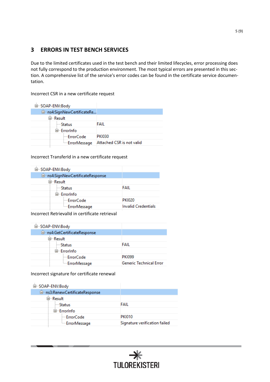## <span id="page-4-0"></span>**3 ERRORS IN TEST BENCH SERVICES**

Due to the limited certificates used in the test bench and their limited lifecycles, error processing does not fully correspond to the production environment. The most typical errors are presented in this section. A comprehensive list of the service's error codes can be found in the certificate service documentation.

Incorrect CSR in a new certificate request

| 白…SOAP-ENV:Body            |                           |
|----------------------------|---------------------------|
| □…ns4:SignNewCertificateRe |                           |
| ⊟…Result                   |                           |
| ⊱∽Status                   | FAIL                      |
| ⊟…ErrorInfo                |                           |
| ErrorCode                  | <b>PKI030</b>             |
| ErrorMessage               | Attached CSR is not valid |
|                            |                           |

Incorrect TransferId in a new certificate request

| FAIL                       |
|----------------------------|
|                            |
| <b>PKI020</b>              |
| <b>Invalid Credentials</b> |
|                            |

Incorrect RetrievalId in certificate retrieval

| ⊟…SOAP-ENV:Body              |                         |
|------------------------------|-------------------------|
| □…ns4:GetCertificateResponse |                         |
| ⊟…Result                     |                         |
| — Status                     | FAIL                    |
| ⊟…ErrorInfo                  |                         |
| i— ErrorCode                 | <b>PKI099</b>           |
| ErrorMessage                 | Generic Technical Error |

Incorrect signature for certificate renewal

| 白…SOAP-ENV:Body                |                               |
|--------------------------------|-------------------------------|
| □ ms3:RenewCertificateResponse |                               |
| ⊟…Result                       |                               |
| — Status                       | FAIL                          |
| ⊟…ErrorInfo                    |                               |
| ⊟ ErrorCode                    | <b>PKI010</b>                 |
| ErrorMessage                   | Signature verification failed |
|                                |                               |

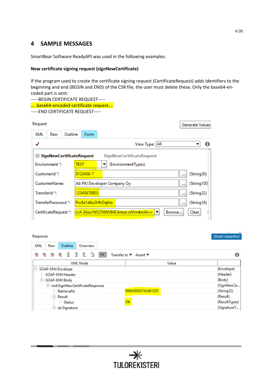## <span id="page-5-0"></span>**4 SAMPLE MESSAGES**

SmartBear Software ReadyAPI was used in the following examples.

#### **New certificate signing request (signNewCertificate)**

If the program used to create the certificate signing request (CertificateRequest) adds identifiers to the beginning and end (BEGIN and END) of the CSR file, the user must delete these. Only the base64-encoded part is sent:

| -----BEGIN CERTIFICATE REQUEST----- |
|-------------------------------------|
| base64-encoded certificate request  |
| -----END CERTIFICATE REQUEST-----   |

| Request       |                           |         |                                    | <b>Generate Values</b>                                              |
|---------------|---------------------------|---------|------------------------------------|---------------------------------------------------------------------|
| XML           | Raw                       | Outline | Form                               |                                                                     |
| √             |                           |         |                                    | View Type: All<br>0                                                 |
|               |                           |         | <b>☑ SignNewCertificateRequest</b> | <b>SignNewCertificateRequest</b>                                    |
|               | Environment *:            |         | test                               | (EnvironmentTypes)                                                  |
|               | CustomerId <sup>*</sup> : |         | 0123456-7                          | (String30)<br>$\cdots$                                              |
|               | CustomerName:             |         |                                    | (String100)<br>Ab PKI Developer Company Oy<br>$\cdots$              |
| Transferld *: |                           |         | 12345678903                        | (String32)<br>                                                      |
|               | TransferPassword *:       |         | Pw8a1d4u3HhOqhlo                   | (String16)<br>$\cdots$                                              |
|               | CertificateRequest *:     |         |                                    | <ca 3aju="" wq1nwumcarkalywxmknja=" " ▼<br="">Clear<br/>Browse</ca> |

#### Response

| XML<br>Outline<br>Raw<br>Overview                                     |               |
|-----------------------------------------------------------------------|---------------|
| 言 意 言 意 画 画 面 画 画<br>$\mathbf{X}\mathbf{S}$<br>Transfer to V Assert V | A             |
| <b>XML Node</b>                                                       | Value         |
| Θ<br>SOAP-ENV:Envelope                                                | (Envelope)    |
| SOAP-ENV:Header                                                       | (Header)      |
| <b>⊟</b> SOAP-ENV:Body                                                | (Body)        |
| → ns4:SignNewCertificateResponse                                      | (SignNewCe    |
| 990639930742461205<br><b>Retrievalld</b>                              | (String32)    |
| <b>□ Result</b>                                                       | (Result)      |
| OK<br><b>Status</b>                                                   | (ResultTypes) |
| ⊕ <sup></sup> ds:Signature                                            | (SignatureT   |

Smart Assertion

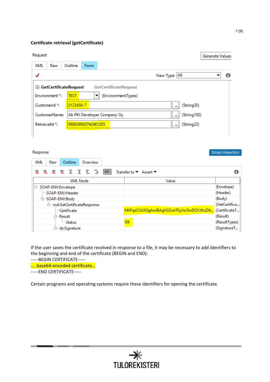#### **Certificate retrieval (getCertificate)**

#### $\mathbf{D}$  $\cdots$

| Request        |                |                                    |                    | <b>Generate Values</b>                            |
|----------------|----------------|------------------------------------|--------------------|---------------------------------------------------|
| <b>XML</b>     | Raw            | Outline                            | <b>Form</b>        |                                                   |
| √              |                |                                    |                    | View Type: All<br>A                               |
|                |                | $\heartsuit$ GetCertificateRequest |                    | <b>GetCertificateRequest</b>                      |
|                | Environment *: | <b>TEST</b>                        | ▼                  | (EnvironmentTypes)                                |
|                | CustomerId *:  | 0123456-7                          |                    | (String30)<br>111                                 |
|                | CustomerName:  |                                    |                    | (String100)<br>Ab PKI Developer Company Oy<br>111 |
| Retrievalld *: |                |                                    | 990639930742461205 | (String32)<br>                                    |
|                |                |                                    |                    |                                                   |

#### Response

| XML<br>Outline<br>Overview<br>Raw   |                                                         |  |
|-------------------------------------|---------------------------------------------------------|--|
| 言 意 言 意 画 画 を 心<br>XS:              | Transfer to V Assert V                                  |  |
| <b>XML Node</b>                     | Value                                                   |  |
| SOAP-ENV:Envelope<br>Θ              | (Envelope)                                              |  |
| SOAP-ENV:Header                     | (Header)                                                |  |
| <b>D-SOAP-ENV:Body</b>              | (Body)                                                  |  |
| <b>□ ms4:GetCertificateResponse</b> | (GetCertifica                                           |  |
| - Certificate                       | MIIFqzCCA5OgAwIBAgIIGZoeTGyXo3IwDQYJKoZIh (CertificateT |  |
| <b>□ Result</b>                     | (Result)                                                |  |
| i Status                            | ок<br>(ResultTypes)                                     |  |
| <b>□ ds:Signature</b>               | <b>COLLEGE</b><br>(SignatureT                           |  |

If the user saves the certificate received in response to a file, it may be necessary to add identifiers to the beginning and end of the certificate (BEGIN and END):

-----BEGIN CERTIFICATE-----

…. base64-encoded certificate…

-----END CERTIFICATE-----

Certain programs and operating systems require these identifiers for opening the certificate.

Smart Assertion

ŕ

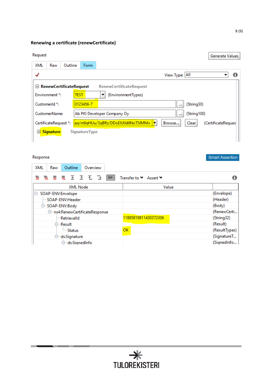## **Renewing a certificate (renewCertificate)**

#### Request

| Request                                                                                                                             |                                           |         |                      |                                      |                |              | Generate Values     |
|-------------------------------------------------------------------------------------------------------------------------------------|-------------------------------------------|---------|----------------------|--------------------------------------|----------------|--------------|---------------------|
| <b>XML</b>                                                                                                                          | Raw                                       | Outline | Form                 |                                      |                |              |                     |
|                                                                                                                                     |                                           |         |                      |                                      | View Type: All |              |                     |
| $\mathcal{D}$ RenewCertificateRequest<br><b>RenewCertificateRequest</b><br><b>TEST</b><br>Environment *:<br>(EnvironmentTypes)<br>▼ |                                           |         |                      |                                      |                |              |                     |
|                                                                                                                                     | CustomerId *:                             |         | 0123456-7            |                                      |                | (String30)   |                     |
|                                                                                                                                     | CustomerName:                             |         |                      | Ab PKI Developer Company Oy          | $\cdots$       | (String100)  |                     |
| $\triangleright$                                                                                                                    | CertificateRequest *:<br><b>Signature</b> |         | <b>SignatureType</b> | aq/m9qHUu/3qBRz/DDoEIU0dIINoT5JMM= → | Browse         | <b>Clear</b> | (CertificateReques) |

#### Response

| esponse                                                              | <b>Smart Assertion</b> |
|----------------------------------------------------------------------|------------------------|
| XML<br><b>Outline</b><br>Overview<br>Raw                             |                        |
| ききききををむる<br>Transfer to <i>V</i> Assert <b>→</b><br>$X \mathbb{S}$ : |                        |
| <b>XML Node</b><br>Value                                             |                        |
| 3<br>SOAP-ENV:Envelope                                               | (Envelope)             |
| SOAP-ENV:Header                                                      | (Header)               |
| <b>G-SOAP-ENV:Body</b>                                               | (Body)                 |
| → ns4:RenewCertificateResponse                                       | (RenewCerti            |
| 11885819811430372306<br>Retrievalld                                  | (String32)             |
| <b>⊖</b> Result                                                      | (Result)               |
| <b>OK</b><br><b>Status</b>                                           | (ResultTypes)          |
| <sup>□</sup> ds:Signature                                            | (SignatureT            |
| □ ds:SignedInfo                                                      | (SignedInfo)           |